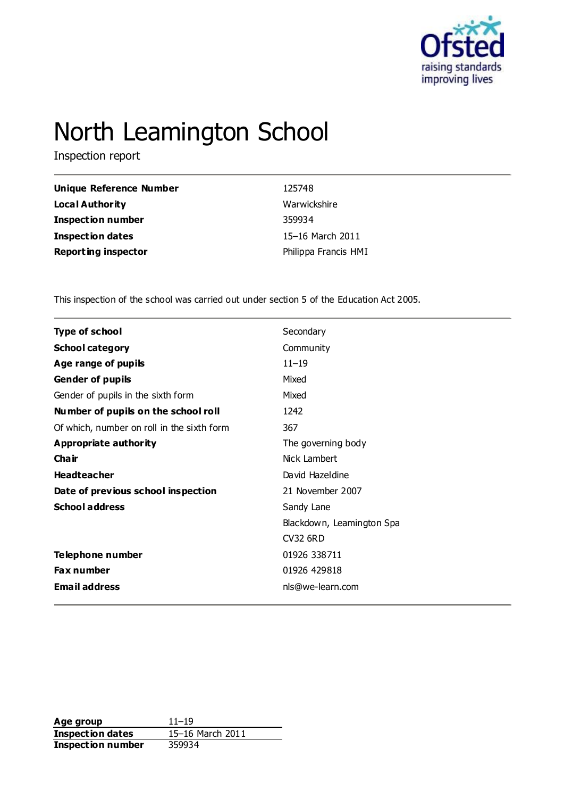

# North Leamington School

Inspection report

| Unique Reference Number    | 125748               |
|----------------------------|----------------------|
| Local Authority            | Warwickshire         |
| <b>Inspection number</b>   | 359934               |
| Inspection dates           | 15–16 March 2011     |
| <b>Reporting inspector</b> | Philippa Francis HMI |

This inspection of the school was carried out under section 5 of the Education Act 2005.

| <b>Type of school</b>                      | Secondary                 |
|--------------------------------------------|---------------------------|
| <b>School category</b>                     | Community                 |
| Age range of pupils                        | $11 - 19$                 |
| <b>Gender of pupils</b>                    | Mixed                     |
| Gender of pupils in the sixth form         | Mixed                     |
| Number of pupils on the school roll        | 1242                      |
| Of which, number on roll in the sixth form | 367                       |
| <b>Appropriate authority</b>               | The governing body        |
| Cha ir                                     | Nick Lambert              |
| <b>Headteacher</b>                         | David Hazeldine           |
| Date of previous school inspection         | 21 November 2007          |
| <b>School address</b>                      | Sandy Lane                |
|                                            | Blackdown, Leamington Spa |
|                                            | <b>CV32 6RD</b>           |
| Telephone number                           | 01926 338711              |
| <b>Fax number</b>                          | 01926 429818              |
| <b>Email address</b>                       | nls@we-learn.com          |

**Age group** 11–19<br> **Inspection dates** 15–16 March 2011 **Inspection dates Inspection number** 359934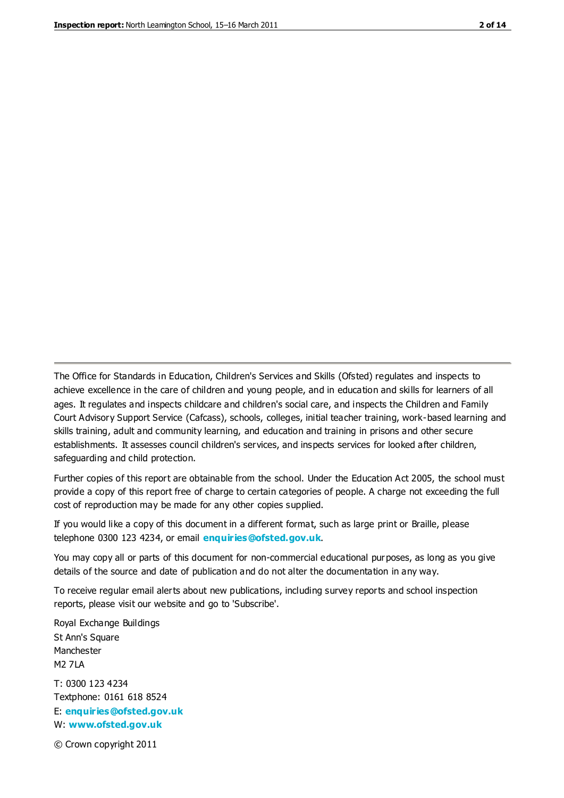The Office for Standards in Education, Children's Services and Skills (Ofsted) regulates and inspects to achieve excellence in the care of children and young people, and in education and skills for learners of all ages. It regulates and inspects childcare and children's social care, and inspects the Children and Family Court Advisory Support Service (Cafcass), schools, colleges, initial teacher training, work-based learning and skills training, adult and community learning, and education and training in prisons and other secure establishments. It assesses council children's services, and inspects services for looked after children, safeguarding and child protection.

Further copies of this report are obtainable from the school. Under the Education Act 2005, the school must provide a copy of this report free of charge to certain categories of people. A charge not exceeding the full cost of reproduction may be made for any other copies supplied.

If you would like a copy of this document in a different format, such as large print or Braille, please telephone 0300 123 4234, or email **[enquiries@ofsted.gov.uk](mailto:enquiries@ofsted.gov.uk)**.

You may copy all or parts of this document for non-commercial educational purposes, as long as you give details of the source and date of publication and do not alter the documentation in any way.

To receive regular email alerts about new publications, including survey reports and school inspection reports, please visit our website and go to 'Subscribe'.

Royal Exchange Buildings St Ann's Square Manchester M2 7LA T: 0300 123 4234 Textphone: 0161 618 8524 E: **[enquiries@ofsted.gov.uk](mailto:enquiries@ofsted.gov.uk)**

W: **[www.ofsted.gov.uk](http://www.ofsted.gov.uk/)**

© Crown copyright 2011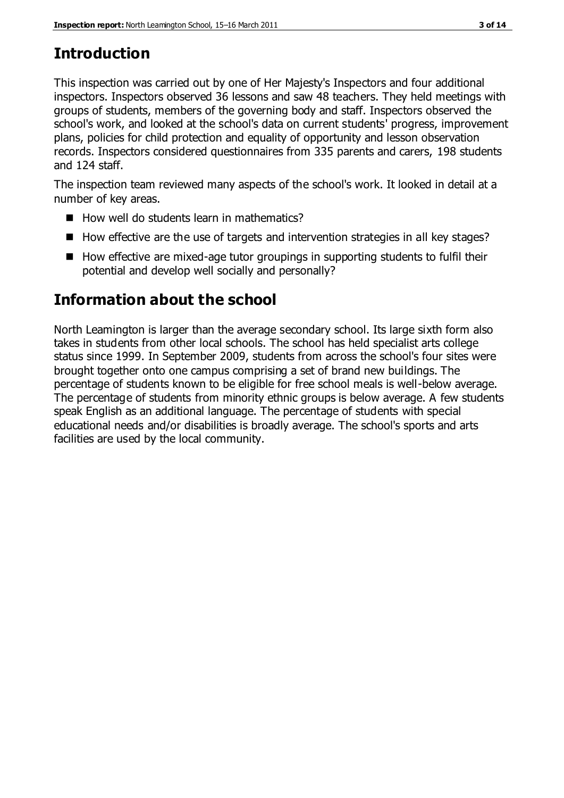# **Introduction**

This inspection was carried out by one of Her Majesty's Inspectors and four additional inspectors. Inspectors observed 36 lessons and saw 48 teachers. They held meetings with groups of students, members of the governing body and staff. Inspectors observed the school's work, and looked at the school's data on current students' progress, improvement plans, policies for child protection and equality of opportunity and lesson observation records. Inspectors considered questionnaires from 335 parents and carers, 198 students and 124 staff.

The inspection team reviewed many aspects of the school's work. It looked in detail at a number of key areas.

- $\blacksquare$  How well do students learn in mathematics?
- $\blacksquare$  How effective are the use of targets and intervention strategies in all key stages?
- $\blacksquare$  How effective are mixed-age tutor groupings in supporting students to fulfil their potential and develop well socially and personally?

# **Information about the school**

North Leamington is larger than the average secondary school. Its large sixth form also takes in students from other local schools. The school has held specialist arts college status since 1999. In September 2009, students from across the school's four sites were brought together onto one campus comprising a set of brand new buildings. The percentage of students known to be eligible for free school meals is well-below average. The percentage of students from minority ethnic groups is below average. A few students speak English as an additional language. The percentage of students with special educational needs and/or disabilities is broadly average. The school's sports and arts facilities are used by the local community.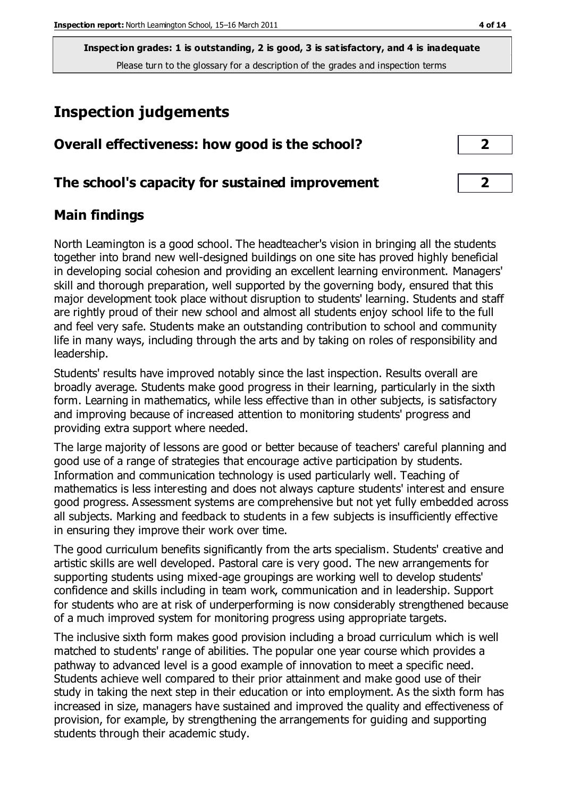# **Inspection judgements**

| Overall effectiveness: how good is the school?  |  |
|-------------------------------------------------|--|
| The school's capacity for sustained improvement |  |

## **Main findings**

North Leamington is a good school. The headteacher's vision in bringing all the students together into brand new well-designed buildings on one site has proved highly beneficial in developing social cohesion and providing an excellent learning environment. Managers' skill and thorough preparation, well supported by the governing body, ensured that this major development took place without disruption to students' learning. Students and staff are rightly proud of their new school and almost all students enjoy school life to the full and feel very safe. Students make an outstanding contribution to school and community life in many ways, including through the arts and by taking on roles of responsibility and leadership.

Students' results have improved notably since the last inspection. Results overall are broadly average. Students make good progress in their learning, particularly in the sixth form. Learning in mathematics, while less effective than in other subjects, is satisfactory and improving because of increased attention to monitoring students' progress and providing extra support where needed.

The large majority of lessons are good or better because of teachers' careful planning and good use of a range of strategies that encourage active participation by students. Information and communication technology is used particularly well. Teaching of mathematics is less interesting and does not always capture students' interest and ensure good progress. Assessment systems are comprehensive but not yet fully embedded across all subjects. Marking and feedback to students in a few subjects is insufficiently effective in ensuring they improve their work over time.

The good curriculum benefits significantly from the arts specialism. Students' creative and artistic skills are well developed. Pastoral care is very good. The new arrangements for supporting students using mixed-age groupings are working well to develop students' confidence and skills including in team work, communication and in leadership. Support for students who are at risk of underperforming is now considerably strengthened because of a much improved system for monitoring progress using appropriate targets.

The inclusive sixth form makes good provision including a broad curriculum which is well matched to students' range of abilities. The popular one year course which provides a pathway to advanced level is a good example of innovation to meet a specific need. Students achieve well compared to their prior attainment and make good use of their study in taking the next step in their education or into employment. As the sixth form has increased in size, managers have sustained and improved the quality and effectiveness of provision, for example, by strengthening the arrangements for guiding and supporting students through their academic study.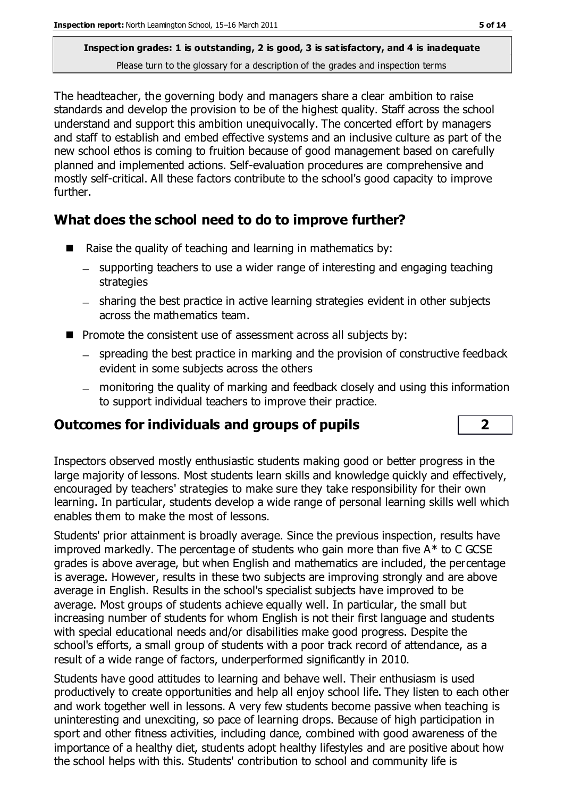The headteacher, the governing body and managers share a clear ambition to raise standards and develop the provision to be of the highest quality. Staff across the school understand and support this ambition unequivocally. The concerted effort by managers and staff to establish and embed effective systems and an inclusive culture as part of the new school ethos is coming to fruition because of good management based on carefully planned and implemented actions. Self-evaluation procedures are comprehensive and mostly self-critical. All these factors contribute to the school's good capacity to improve further.

## **What does the school need to do to improve further?**

- Raise the quality of teaching and learning in mathematics by:
	- supporting teachers to use a wider range of interesting and engaging teaching strategies
	- sharing the best practice in active learning strategies evident in other subjects across the mathematics team.
- **Promote the consistent use of assessment across all subjects by:** 
	- spreading the best practice in marking and the provision of constructive feedback evident in some subjects across the others
	- monitoring the quality of marking and feedback closely and using this information to support individual teachers to improve their practice.

## **Outcomes for individuals and groups of pupils 2**

Inspectors observed mostly enthusiastic students making good or better progress in the large majority of lessons. Most students learn skills and knowledge quickly and effectively, encouraged by teachers' strategies to make sure they take responsibility for their own learning. In particular, students develop a wide range of personal learning skills well which enables them to make the most of lessons.

Students' prior attainment is broadly average. Since the previous inspection, results have improved markedly. The percentage of students who gain more than five A\* to C GCSE grades is above average, but when English and mathematics are included, the percentage is average. However, results in these two subjects are improving strongly and are above average in English. Results in the school's specialist subjects have improved to be average. Most groups of students achieve equally well. In particular, the small but increasing number of students for whom English is not their first language and students with special educational needs and/or disabilities make good progress. Despite the school's efforts, a small group of students with a poor track record of attendance, as a result of a wide range of factors, underperformed significantly in 2010.

Students have good attitudes to learning and behave well. Their enthusiasm is used productively to create opportunities and help all enjoy school life. They listen to each other and work together well in lessons. A very few students become passive when teaching is uninteresting and unexciting, so pace of learning drops. Because of high participation in sport and other fitness activities, including dance, combined with good awareness of the importance of a healthy diet, students adopt healthy lifestyles and are positive about how the school helps with this. Students' contribution to school and community life is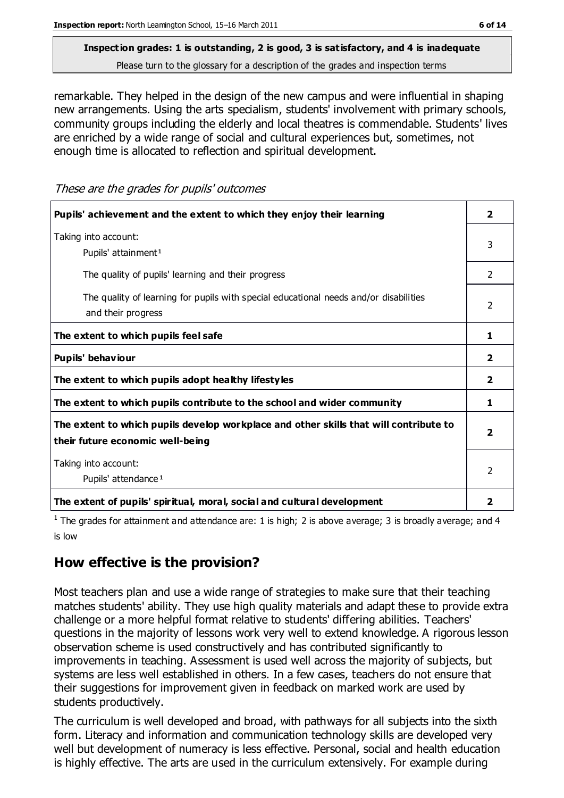# **Inspection grades: 1 is outstanding, 2 is good, 3 is satisfactory, and 4 is inadequate**

Please turn to the glossary for a description of the grades and inspection terms

remarkable. They helped in the design of the new campus and were influential in shaping new arrangements. Using the arts specialism, students' involvement with primary schools, community groups including the elderly and local theatres is commendable. Students' lives are enriched by a wide range of social and cultural experiences but, sometimes, not enough time is allocated to reflection and spiritual development.

These are the grades for pupils' outcomes

| Pupils' achievement and the extent to which they enjoy their learning                                                     | $\overline{2}$          |
|---------------------------------------------------------------------------------------------------------------------------|-------------------------|
| Taking into account:<br>Pupils' attainment <sup>1</sup>                                                                   |                         |
| The quality of pupils' learning and their progress                                                                        | 2                       |
| The quality of learning for pupils with special educational needs and/or disabilities<br>and their progress               |                         |
| The extent to which pupils feel safe                                                                                      | 1                       |
| Pupils' behaviour                                                                                                         | $\overline{2}$          |
| The extent to which pupils adopt healthy lifestyles                                                                       | 2                       |
| The extent to which pupils contribute to the school and wider community                                                   |                         |
| The extent to which pupils develop workplace and other skills that will contribute to<br>their future economic well-being | $\overline{\mathbf{2}}$ |
| Taking into account:<br>Pupils' attendance <sup>1</sup>                                                                   | 2                       |
| The extent of pupils' spiritual, moral, social and cultural development                                                   | 2                       |

<sup>1</sup> The grades for attainment and attendance are: 1 is high; 2 is above average; 3 is broadly average; and 4 is low

## **How effective is the provision?**

Most teachers plan and use a wide range of strategies to make sure that their teaching matches students' ability. They use high quality materials and adapt these to provide extra challenge or a more helpful format relative to students' differing abilities. Teachers' questions in the majority of lessons work very well to extend knowledge. A rigorous lesson observation scheme is used constructively and has contributed significantly to improvements in teaching. Assessment is used well across the majority of subjects, but systems are less well established in others. In a few cases, teachers do not ensure that their suggestions for improvement given in feedback on marked work are used by students productively.

The curriculum is well developed and broad, with pathways for all subjects into the sixth form. Literacy and information and communication technology skills are developed very well but development of numeracy is less effective. Personal, social and health education is highly effective. The arts are used in the curriculum extensively. For example during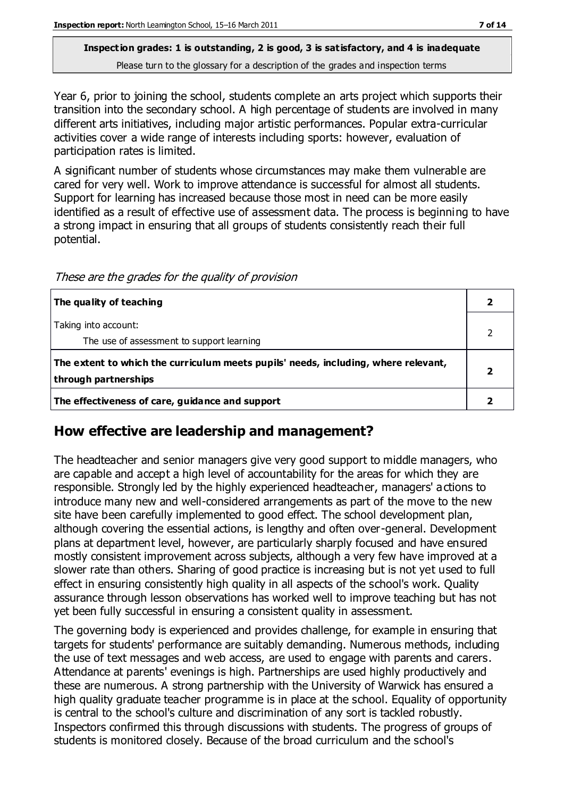Year 6, prior to joining the school, students complete an arts project which supports their transition into the secondary school. A high percentage of students are involved in many different arts initiatives, including major artistic performances. Popular extra-curricular activities cover a wide range of interests including sports: however, evaluation of participation rates is limited.

A significant number of students whose circumstances may make them vulnerable are cared for very well. Work to improve attendance is successful for almost all students. Support for learning has increased because those most in need can be more easily identified as a result of effective use of assessment data. The process is beginning to have a strong impact in ensuring that all groups of students consistently reach their full potential.

| The quality of teaching                                                                                    |  |
|------------------------------------------------------------------------------------------------------------|--|
| Taking into account:<br>The use of assessment to support learning                                          |  |
| The extent to which the curriculum meets pupils' needs, including, where relevant,<br>through partnerships |  |
| The effectiveness of care, guidance and support                                                            |  |

These are the grades for the quality of provision

## **How effective are leadership and management?**

The headteacher and senior managers give very good support to middle managers, who are capable and accept a high level of accountability for the areas for which they are responsible. Strongly led by the highly experienced headteacher, managers' actions to introduce many new and well-considered arrangements as part of the move to the new site have been carefully implemented to good effect. The school development plan, although covering the essential actions, is lengthy and often over-general. Development plans at department level, however, are particularly sharply focused and have ensured mostly consistent improvement across subjects, although a very few have improved at a slower rate than others. Sharing of good practice is increasing but is not yet used to full effect in ensuring consistently high quality in all aspects of the school's work. Quality assurance through lesson observations has worked well to improve teaching but has not yet been fully successful in ensuring a consistent quality in assessment.

The governing body is experienced and provides challenge, for example in ensuring that targets for students' performance are suitably demanding. Numerous methods, including the use of text messages and web access, are used to engage with parents and carers. Attendance at parents' evenings is high. Partnerships are used highly productively and these are numerous. A strong partnership with the University of Warwick has ensured a high quality graduate teacher programme is in place at the school. Equality of opportunity is central to the school's culture and discrimination of any sort is tackled robustly. Inspectors confirmed this through discussions with students. The progress of groups of students is monitored closely. Because of the broad curriculum and the school's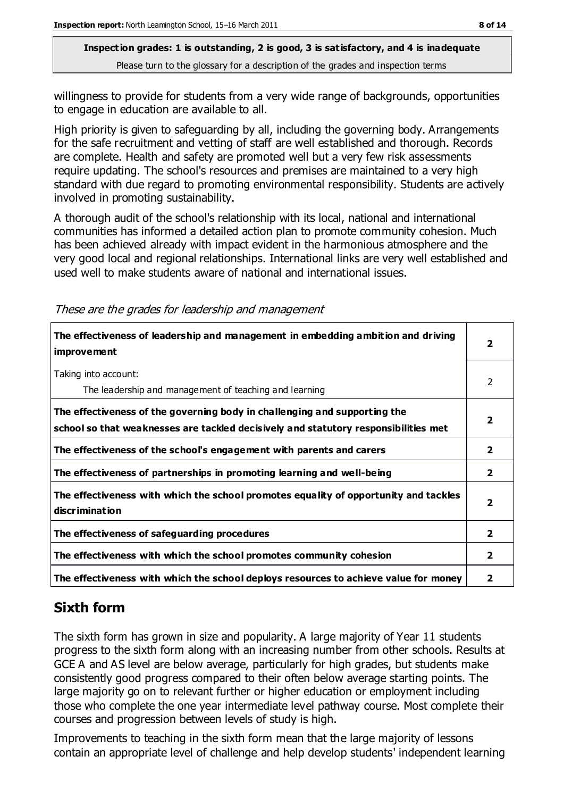willingness to provide for students from a very wide range of backgrounds, opportunities to engage in education are available to all.

High priority is given to safeguarding by all, including the governing body. Arrangements for the safe recruitment and vetting of staff are well established and thorough. Records are complete. Health and safety are promoted well but a very few risk assessments require updating. The school's resources and premises are maintained to a very high standard with due regard to promoting environmental responsibility. Students are actively involved in promoting sustainability.

A thorough audit of the school's relationship with its local, national and international communities has informed a detailed action plan to promote community cohesion. Much has been achieved already with impact evident in the harmonious atmosphere and the very good local and regional relationships. International links are very well established and used well to make students aware of national and international issues.

| The effectiveness of leadership and management in embedding ambition and driving<br><i>improvement</i>                                                           |                         |
|------------------------------------------------------------------------------------------------------------------------------------------------------------------|-------------------------|
| Taking into account:<br>The leadership and management of teaching and learning                                                                                   | 2                       |
| The effectiveness of the governing body in challenging and supporting the<br>school so that weaknesses are tackled decisively and statutory responsibilities met | $\overline{2}$          |
| The effectiveness of the school's engagement with parents and carers                                                                                             | $\mathbf{2}$            |
| The effectiveness of partnerships in promoting learning and well-being                                                                                           | $\mathbf{2}$            |
| The effectiveness with which the school promotes equality of opportunity and tackles<br>discrimination                                                           | $\overline{\mathbf{2}}$ |
| The effectiveness of safeguarding procedures                                                                                                                     | $\mathbf{2}$            |
| The effectiveness with which the school promotes community cohesion                                                                                              | $\mathbf{2}$            |
| The effectiveness with which the school deploys resources to achieve value for money                                                                             | 2                       |

## **Sixth form**

The sixth form has grown in size and popularity. A large majority of Year 11 students progress to the sixth form along with an increasing number from other schools. Results at GCE A and AS level are below average, particularly for high grades, but students make consistently good progress compared to their often below average starting points. The large majority go on to relevant further or higher education or employment including those who complete the one year intermediate level pathway course. Most complete their courses and progression between levels of study is high.

Improvements to teaching in the sixth form mean that the large majority of lessons contain an appropriate level of challenge and help develop students' independent learning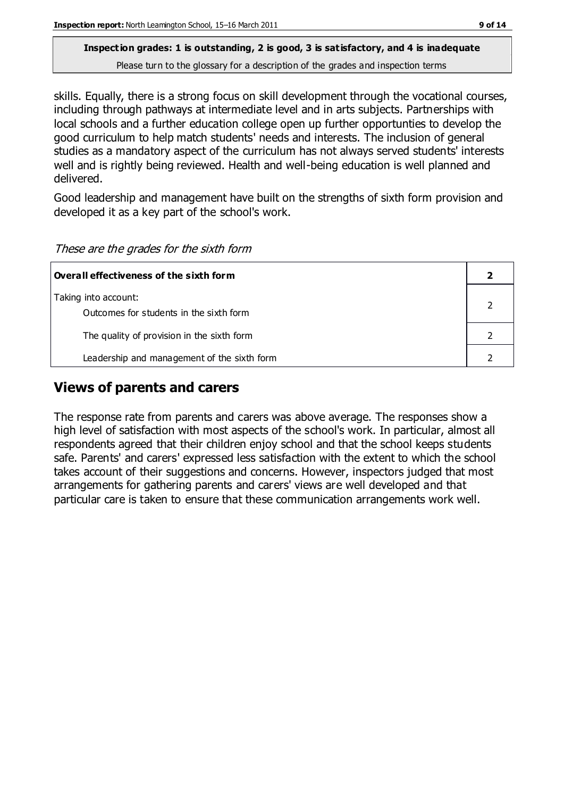skills. Equally, there is a strong focus on skill development through the vocational courses, including through pathways at intermediate level and in arts subjects. Partnerships with local schools and a further education college open up further opportunties to develop the good curriculum to help match students' needs and interests. The inclusion of general studies as a mandatory aspect of the curriculum has not always served students' interests well and is rightly being reviewed. Health and well-being education is well planned and delivered.

Good leadership and management have built on the strengths of sixth form provision and developed it as a key part of the school's work.

| Overall effectiveness of the sixth form     |  |  |
|---------------------------------------------|--|--|
| Taking into account:                        |  |  |
| Outcomes for students in the sixth form     |  |  |
| The quality of provision in the sixth form  |  |  |
| Leadership and management of the sixth form |  |  |

## **Views of parents and carers**

The response rate from parents and carers was above average. The responses show a high level of satisfaction with most aspects of the school's work. In particular, almost all respondents agreed that their children enjoy school and that the school keeps students safe. Parents' and carers' expressed less satisfaction with the extent to which the school takes account of their suggestions and concerns. However, inspectors judged that most arrangements for gathering parents and carers' views are well developed and that particular care is taken to ensure that these communication arrangements work well.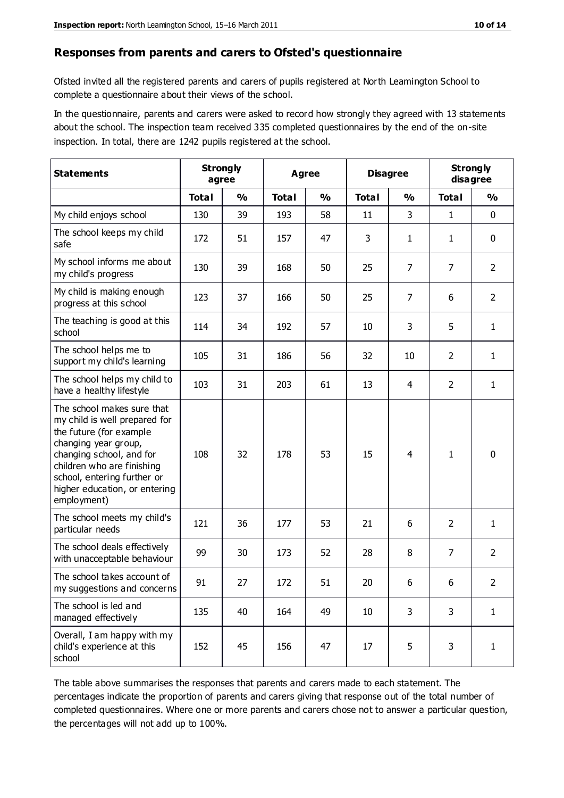#### **Responses from parents and carers to Ofsted's questionnaire**

Ofsted invited all the registered parents and carers of pupils registered at North Leamington School to complete a questionnaire about their views of the school.

In the questionnaire, parents and carers were asked to record how strongly they agreed with 13 statements about the school. The inspection team received 335 completed questionnaires by the end of the on-site inspection. In total, there are 1242 pupils registered at the school.

| <b>Statements</b>                                                                                                                                                                                                                                       | <b>Strongly</b><br>agree |               | <b>Strongly</b><br><b>Disagree</b><br><b>Agree</b><br>disagree |               |              |                |                |                |  |
|---------------------------------------------------------------------------------------------------------------------------------------------------------------------------------------------------------------------------------------------------------|--------------------------|---------------|----------------------------------------------------------------|---------------|--------------|----------------|----------------|----------------|--|
|                                                                                                                                                                                                                                                         | <b>Total</b>             | $\frac{0}{0}$ | <b>Total</b>                                                   | $\frac{0}{0}$ | <b>Total</b> | $\frac{0}{0}$  | <b>Total</b>   | $\frac{1}{2}$  |  |
| My child enjoys school                                                                                                                                                                                                                                  | 130                      | 39            | 193                                                            | 58            | 11           | 3              | 1              | $\mathbf 0$    |  |
| The school keeps my child<br>safe                                                                                                                                                                                                                       | 172                      | 51            | 157                                                            | 47            | 3            | $\mathbf{1}$   | 1              | $\mathbf 0$    |  |
| My school informs me about<br>my child's progress                                                                                                                                                                                                       | 130                      | 39            | 168                                                            | 50            | 25           | 7              | 7              | $\overline{2}$ |  |
| My child is making enough<br>progress at this school                                                                                                                                                                                                    | 123                      | 37            | 166                                                            | 50            | 25           | $\overline{7}$ | 6              | $\overline{2}$ |  |
| The teaching is good at this<br>school                                                                                                                                                                                                                  | 114                      | 34            | 192                                                            | 57            | 10           | 3              | 5              | $\mathbf{1}$   |  |
| The school helps me to<br>support my child's learning                                                                                                                                                                                                   | 105                      | 31            | 186                                                            | 56            | 32           | 10             | $\overline{2}$ | $\mathbf{1}$   |  |
| The school helps my child to<br>have a healthy lifestyle                                                                                                                                                                                                | 103                      | 31            | 203                                                            | 61            | 13           | $\overline{4}$ | 2              | $\mathbf{1}$   |  |
| The school makes sure that<br>my child is well prepared for<br>the future (for example<br>changing year group,<br>changing school, and for<br>children who are finishing<br>school, entering further or<br>higher education, or entering<br>employment) | 108                      | 32            | 178                                                            | 53            | 15           | 4              | $\mathbf{1}$   | $\mathbf 0$    |  |
| The school meets my child's<br>particular needs                                                                                                                                                                                                         | 121                      | 36            | 177                                                            | 53            | 21           | 6              | $\overline{2}$ | 1              |  |
| The school deals effectively<br>with unacceptable behaviour                                                                                                                                                                                             | 99                       | 30            | 173                                                            | 52            | 28           | 8              | $\overline{7}$ | $\overline{2}$ |  |
| The school takes account of<br>my suggestions and concerns                                                                                                                                                                                              | 91                       | 27            | 172                                                            | 51            | 20           | 6              | 6              | 2              |  |
| The school is led and<br>managed effectively                                                                                                                                                                                                            | 135                      | 40            | 164                                                            | 49            | 10           | 3              | 3              | $\mathbf{1}$   |  |
| Overall, I am happy with my<br>child's experience at this<br>school                                                                                                                                                                                     | 152                      | 45            | 156                                                            | 47            | 17           | 5              | 3              | $\mathbf{1}$   |  |

The table above summarises the responses that parents and carers made to each statement. The percentages indicate the proportion of parents and carers giving that response out of the total number of completed questionnaires. Where one or more parents and carers chose not to answer a particular question, the percentages will not add up to 100%.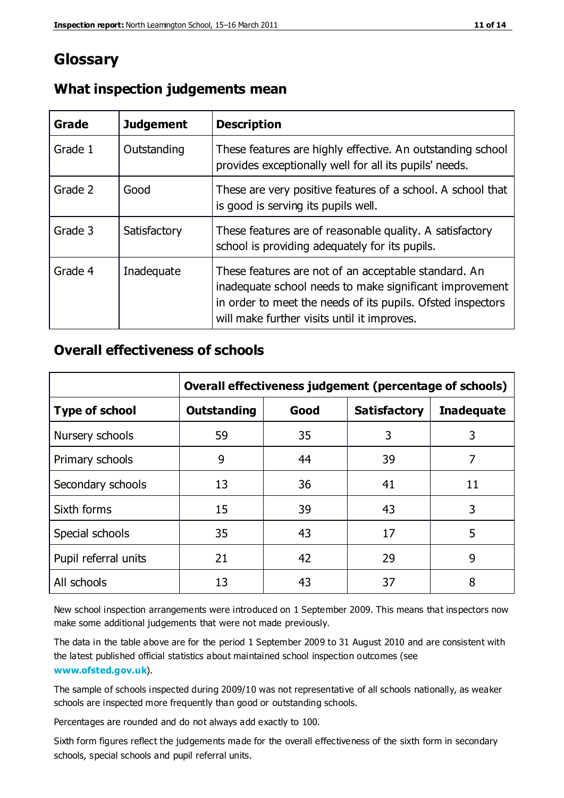## **Glossary**

| Grade   | <b>Judgement</b> | <b>Description</b>                                                                                                                                                                                                            |
|---------|------------------|-------------------------------------------------------------------------------------------------------------------------------------------------------------------------------------------------------------------------------|
| Grade 1 | Outstanding      | These features are highly effective. An outstanding school<br>provides exceptionally well for all its pupils' needs.                                                                                                          |
| Grade 2 | Good             | These are very positive features of a school. A school that<br>is good is serving its pupils well.                                                                                                                            |
| Grade 3 | Satisfactory     | These features are of reasonable quality. A satisfactory<br>school is providing adequately for its pupils.                                                                                                                    |
| Grade 4 | Inadequate       | These features are not of an acceptable standard. An<br>inadequate school needs to make significant improvement<br>in order to meet the needs of its pupils. Ofsted inspectors<br>will make further visits until it improves. |

#### **What inspection judgements mean**

### **Overall effectiveness of schools**

|                       | Overall effectiveness judgement (percentage of schools) |      |                     |                   |  |
|-----------------------|---------------------------------------------------------|------|---------------------|-------------------|--|
| <b>Type of school</b> | <b>Outstanding</b>                                      | Good | <b>Satisfactory</b> | <b>Inadequate</b> |  |
| Nursery schools       | 59                                                      | 35   | 3                   | 3                 |  |
| Primary schools       | 9                                                       | 44   | 39                  | 7                 |  |
| Secondary schools     | 13                                                      | 36   | 41                  | 11                |  |
| Sixth forms           | 15                                                      | 39   | 43                  | 3                 |  |
| Special schools       | 35                                                      | 43   | 17                  | 5                 |  |
| Pupil referral units  | 21                                                      | 42   | 29                  | 9                 |  |
| All schools           | 13                                                      | 43   | 37                  | 8                 |  |

New school inspection arrangements were introduced on 1 September 2009. This means that inspectors now make some additional judgements that were not made previously.

The data in the table above are for the period 1 September 2009 to 31 August 2010 and are consistent with the latest published official statistics about maintained school inspection outcomes (see **[www.ofsted.gov.uk](http://www.ofsted.gov.uk/)**).

The sample of schools inspected during 2009/10 was not representative of all schools nationally, as weaker schools are inspected more frequently than good or outstanding schools.

Percentages are rounded and do not always add exactly to 100.

Sixth form figures reflect the judgements made for the overall effectiveness of the sixth form in secondary schools, special schools and pupil referral units.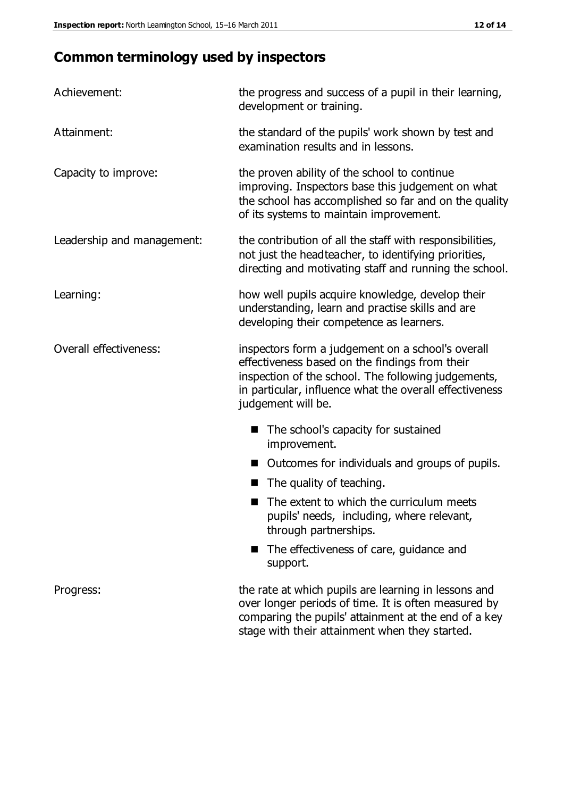# **Common terminology used by inspectors**

| Achievement:               | the progress and success of a pupil in their learning,<br>development or training.                                                                                                                                                          |
|----------------------------|---------------------------------------------------------------------------------------------------------------------------------------------------------------------------------------------------------------------------------------------|
| Attainment:                | the standard of the pupils' work shown by test and<br>examination results and in lessons.                                                                                                                                                   |
| Capacity to improve:       | the proven ability of the school to continue<br>improving. Inspectors base this judgement on what<br>the school has accomplished so far and on the quality<br>of its systems to maintain improvement.                                       |
| Leadership and management: | the contribution of all the staff with responsibilities,<br>not just the headteacher, to identifying priorities,<br>directing and motivating staff and running the school.                                                                  |
| Learning:                  | how well pupils acquire knowledge, develop their<br>understanding, learn and practise skills and are<br>developing their competence as learners.                                                                                            |
| Overall effectiveness:     | inspectors form a judgement on a school's overall<br>effectiveness based on the findings from their<br>inspection of the school. The following judgements,<br>in particular, influence what the overall effectiveness<br>judgement will be. |
|                            | The school's capacity for sustained<br>improvement.                                                                                                                                                                                         |
|                            | Outcomes for individuals and groups of pupils.                                                                                                                                                                                              |
|                            | The quality of teaching.                                                                                                                                                                                                                    |
|                            | The extent to which the curriculum meets<br>pupils' needs, including, where relevant,<br>through partnerships.                                                                                                                              |
|                            | The effectiveness of care, guidance and<br>support.                                                                                                                                                                                         |
| Progress:                  | the rate at which pupils are learning in lessons and<br>over longer periods of time. It is often measured by<br>comparing the pupils' attainment at the end of a key                                                                        |

stage with their attainment when they started.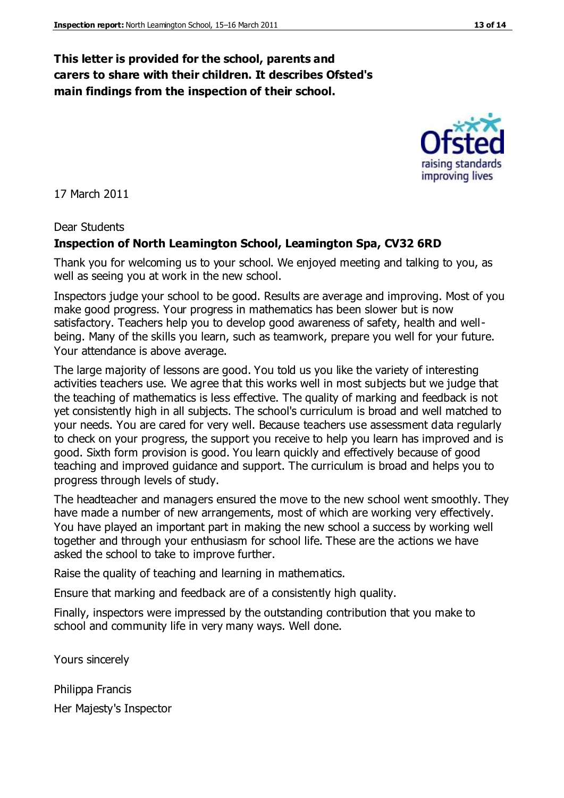## **This letter is provided for the school, parents and carers to share with their children. It describes Ofsted's main findings from the inspection of their school.**

17 March 2011

#### Dear Students

#### **Inspection of North Leamington School, Leamington Spa, CV32 6RD**

Thank you for welcoming us to your school. We enjoyed meeting and talking to you, as well as seeing you at work in the new school.

Inspectors judge your school to be good. Results are average and improving. Most of you make good progress. Your progress in mathematics has been slower but is now satisfactory. Teachers help you to develop good awareness of safety, health and wellbeing. Many of the skills you learn, such as teamwork, prepare you well for your future. Your attendance is above average.

The large majority of lessons are good. You told us you like the variety of interesting activities teachers use. We agree that this works well in most subjects but we judge that the teaching of mathematics is less effective. The quality of marking and feedback is not yet consistently high in all subjects. The school's curriculum is broad and well matched to your needs. You are cared for very well. Because teachers use assessment data regularly to check on your progress, the support you receive to help you learn has improved and is good. Sixth form provision is good. You learn quickly and effectively because of good teaching and improved guidance and support. The curriculum is broad and helps you to progress through levels of study.

The headteacher and managers ensured the move to the new school went smoothly. They have made a number of new arrangements, most of which are working very effectively. You have played an important part in making the new school a success by working well together and through your enthusiasm for school life. These are the actions we have asked the school to take to improve further.

Raise the quality of teaching and learning in mathematics.

Ensure that marking and feedback are of a consistently high quality.

Finally, inspectors were impressed by the outstanding contribution that you make to school and community life in very many ways. Well done.

Yours sincerely

Philippa Francis

Her Majesty's Inspector